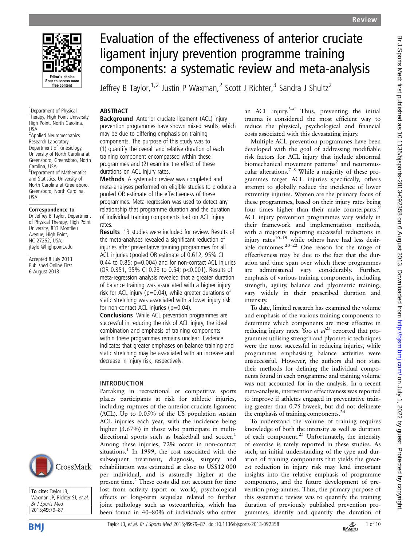

<sup>1</sup> Department of Physical Therapy, High Point University, High Point, North Carolina, USA <sup>2</sup> Applied Neuromechanics Research Laboratory, Department of Kinesiology, University of North Carolina at Greensboro, Greensboro, North Carolina, USA <sup>3</sup> Department of Mathematics and Statistics, University of North Carolina at Greensboro, Greensboro, North Carolina, USA

#### Correspondence to

Dr Jeffrey B Taylor, Department of Physical Therapy, High Point University, 833 Montlieu Avenue, High Point, NC 27262, USA; jtaylor@highpoint.edu

Accepted 8 July 2013 Published Online First 6 August 2013





# Evaluation of the effectiveness of anterior cruciate ligament injury prevention programme training components: a systematic review and meta-analysis

Jeffrey B Taylor,<sup>1,2</sup> Justin P Waxman,<sup>2</sup> Scott J Richter,<sup>3</sup> Sandra J Shultz<sup>2</sup>

# ABSTRACT

**Background** Anterior cruciate ligament (ACL) injury prevention programmes have shown mixed results, which may be due to differing emphasis on training components. The purpose of this study was to (1) quantify the overall and relative duration of each training component encompassed within these programmes and (2) examine the effect of these durations on ACL injury rates.

Methods A systematic review was completed and meta-analyses performed on eligible studies to produce a pooled OR estimate of the effectiveness of these programmes. Meta-regression was used to detect any relationship that programme duration and the duration of individual training components had on ACL injury rates.

Results 13 studies were included for review. Results of the meta-analyses revealed a significant reduction of injuries after preventative training programmes for all ACL injuries (pooled OR estimate of 0.612, 95% CI 0.44 to 0.85;  $p=0.004$ ) and for non-contact ACL injuries (OR 0.351, 95% CI 0.23 to 0.54; p<0.001). Results of meta-regression analysis revealed that a greater duration of balance training was associated with a higher injury risk for ACL injury ( $p=0.04$ ), while greater durations of static stretching was associated with a lower injury risk for non-contact ACL injuries (p=0.04).

Conclusions While ACL prevention programmes are successful in reducing the risk of ACL injury, the ideal combination and emphasis of training components within these programmes remains unclear. Evidence indicates that greater emphases on balance training and static stretching may be associated with an increase and decrease in injury risk, respectively.

# INTRODUCTION

Partaking in recreational or competitive sports places participants at risk for athletic injuries, including ruptures of the anterior cruciate ligament (ACL). Up to 0.05% of the US population sustain ACL injuries each year, with the incidence being higher (3.67%) in those who participate in multidirectional sports such as basketball and soccer.<sup>1</sup> Among these injuries, 72% occur in non-contact situations.<sup>1</sup> In 1999, the cost associated with the subsequent treatment, diagnosis, surgery and rehabilitation was estimated at close to US\$12 000 per individual, and is assuredly higher at the present time.<sup>2</sup> These costs did not account for time lost from activity (sport or work), psychological effects or long-term sequelae related to further joint pathology such as osteoarthritis, which has been found in 40–80% of individuals who suffer

an ACL injury. $3-6$  Thus, preventing the initial trauma is considered the most efficient way to reduce the physical, psychological and financial costs associated with this devastating injury.

Multiple ACL prevention programmes have been developed with the goal of addressing modifiable risk factors for ACL injury that include abnormal biomechanical movement patterns<sup>7</sup> and neuromuscular alterations.<sup>7</sup>  $8$  While a majority of these programmes target ACL injuries specifically, others attempt to globally reduce the incidence of lower extremity injuries. Women are the primary focus of these programmes, based on their injury rates being four times higher than their male counterparts.<sup>9</sup> ACL injury prevention programmes vary widely in their framework and implementation methods, with a majority reporting successful reductions in injury rates<sup>10–19</sup> while others have had less desirable outcomes.20–<sup>22</sup> One reason for the range of effectiveness may be due to the fact that the duration and time span over which these programmes are administered vary considerably. Further, emphasis of various training components, including strength, agility, balance and plyometric training, vary widely in their prescribed duration and intensity.

To date, limited research has examined the volume and emphasis of the various training components to determine which components are most effective in reducing injury rates. Yoo et  $al^{23}$  reported that programmes utilising strength and plyometric techniques were the most successful in reducing injuries, while programmes emphasising balance activities were unsuccessful. However, the authors did not state their methods for defining the individual components found in each programme and training volume was not accounted for in the analysis. In a recent meta-analysis, intervention effectiveness was reported to improve if athletes engaged in preventative training greater than 0.75 h/week, but did not delineate the emphasis of training components.<sup>24</sup>

To understand the volume of training requires knowledge of both the intensity as well as duration of each component.<sup>25</sup> Unfortunately, the intensity of exercise is rarely reported in these studies. As such, an initial understanding of the type and duration of training components that yields the greatest reduction in injury risk may lend important insights into the relative emphasis of programme components, and the future development of prevention programmes. Thus, the primary purpose of this systematic review was to quantify the training duration of previously published prevention programmes, identify and quantify the duration of

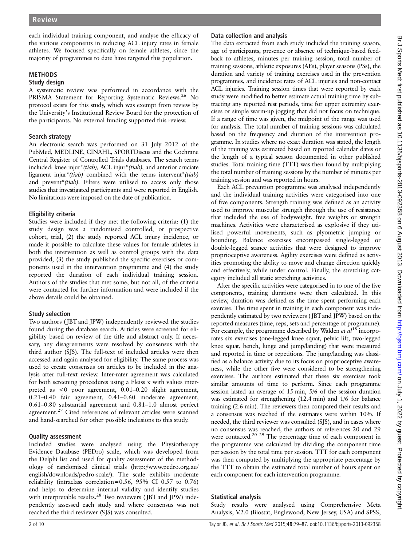each individual training component, and analyse the efficacy of the various components in reducing ACL injury rates in female athletes. We focused specifically on female athletes, since the majority of programmes to date have targeted this population.

# METHODS

### Study design

A systematic review was performed in accordance with the PRISMA Statement for Reporting Systematic Reviews.<sup>26</sup> No protocol exists for this study, which was exempt from review by the University's Institutional Review Board for the protection of the participants. No external funding supported this review.

# Search strategy

An electronic search was performed on 31 July 2012 of the PubMed, MEDLINE, CINAHL, SPORTDiscus and the Cochrane Central Register of Controlled Trials databases. The search terms included: knee injur\*(tiab), ACL injur\*(tiab), and anterior cruciate ligament injur\*(tiab) combined with the terms intervent\*(tiab) and prevent<sup>\*</sup>(tiab). Filters were utilised to access only those studies that investigated participants and were reported in English. No limitations were imposed on the date of publication.

# Eligibility criteria

Studies were included if they met the following criteria: (1) the study design was a randomised controlled, or prospective cohort, trial, (2) the study reported ACL injury incidence, or made it possible to calculate these values for female athletes in both the intervention as well as control groups with the data provided, (3) the study published the specific exercises or components used in the intervention programme and (4) the study reported the duration of each individual training session. Authors of the studies that met some, but not all, of the criteria were contacted for further information and were included if the above details could be obtained.

# Study selection

Two authors ( JBT and JPW) independently reviewed the studies found during the database search. Articles were screened for eligibility based on review of the title and abstract only. If necessary, any disagreements were resolved by consensus with the third author (SJS). The full-text of included articles were then accessed and again analysed for eligibility. The same process was used to create consensus on articles to be included in the analysis after full-text review. Inter-rater agreement was calculated for both screening procedures using a Fleiss κ with values interpreted as <0 poor agreement, 0.01–0.20 slight agreement, 0.21–0.40 fair agreement, 0.41–0.60 moderate agreement, 0.61–0.80 substantial agreement and 0.81–1.0 almost perfect agreement.27 Cited references of relevant articles were scanned and hand-searched for other possible inclusions to this study.

# Quality assessment

Included studies were analysed using the Physiotherapy Evidence Database (PEDro) scale, which was developed from the Delphi list and used for quality assessment of the methodology of randomised clinical trials [\(http://www.pedro.org.au/](http://www.pedro.org.au/english/downloads/pedro-scale/) [english/downloads/pedro-scale/](http://www.pedro.org.au/english/downloads/pedro-scale/)). The scale exhibits moderate reliability (intraclass correlation=0.56, 95% CI 0.57 to 0.76) and helps to determine internal validity and identify studies with interpretable results.<sup>28</sup> Two reviewers (JBT and JPW) independently assessed each study and where consensus was not reached the third reviewer (SJS) was consulted.

# Data collection and analysis

The data extracted from each study included the training season, age of participants, presence or absence of technique-based feedback to athletes, minutes per training session, total number of training sessions, athletic exposures (AEs), player seasons (PSs), the duration and variety of training exercises used in the prevention programmes, and incidence rates of ACL injuries and non-contact ACL injuries. Training session times that were reported by each study were modified to better estimate actual training time by subtracting any reported rest periods, time for upper extremity exercises or simple warm-up jogging that did not focus on technique. If a range of time was given, the midpoint of the range was used for analysis. The total number of training sessions was calculated based on the frequency and duration of the intervention programme. In studies where no exact duration was stated, the length of the training was estimated based on reported calendar dates or the length of a typical season documented in other published studies. Total training time (TTT) was then found by multiplying the total number of training sessions by the number of minutes per training session and was reported in hours.

Each ACL prevention programme was analysed independently and the individual training activities were categorised into one of five components. Strength training was defined as an activity used to improve muscular strength through the use of resistance that included the use of bodyweight, free weights or strength machines. Activities were characterised as explosive if they utilised powerful movements, such as plyometric jumping or bounding. Balance exercises encompassed single-legged or double-legged stance activities that were designed to improve proprioceptive awareness. Agility exercises were defined as activities promoting the ability to move and change direction quickly and effectively, while under control. Finally, the stretching category included all static stretching activities.

After the specific activities were categorised in to one of the five components, training durations were then calculated. In this review, duration was defined as the time spent performing each exercise. The time spent in training in each component was independently estimated by two reviewers ( JBTand JPW) based on the reported measures (time, reps, sets and percentage of programme). For example, the programme described by Walden *et*  $al^{18}$  incorporates six exercises (one-legged knee squat, pelvic lift, two-legged knee squat, bench, lunge and jump/landing) that were measured and reported in time or repetitions. The jump/landing was classified as a balance activity due to its focus on proprioceptive awareness, while the other five were considered to be strengthening exercises. The authors estimated that these six exercises took similar amounts of time to perform. Since each programme session lasted an average of 15 min, 5/6 of the session duration was estimated for strengthening (12.4 min) and 1/6 for balance training (2.6 min). The reviewers then compared their results and a consensus was reached if the estimates were within 10%. If needed, the third reviewer was consulted (SJS), and in cases where no consensus was reached, the authors of references 20 and 29 were contacted.<sup>20</sup> <sup>29</sup> The percentage time of each component in the programme was calculated by dividing the component time per session by the total time per session. TTT for each component was then computed by multiplying the appropriate percentage by the TTT to obtain the estimated total number of hours spent on each component for each intervention programme.

# Statistical analysis

Study results were analysed using Comprehensive Meta Analysis, V.2.0 (Biostat, Englewood, New Jersey, USA) and SPSS,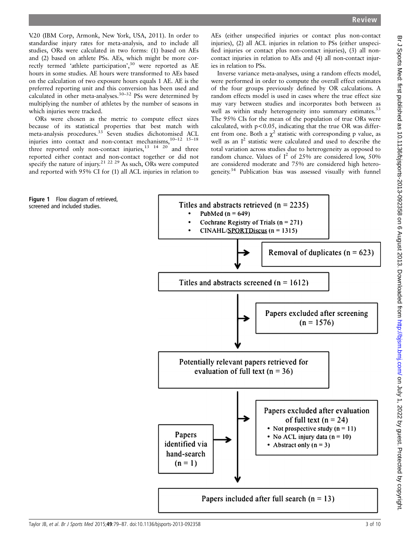V.20 (IBM Corp, Armonk, New York, USA, 2011). In order to standardise injury rates for meta-analysis, and to include all studies, ORs were calculated in two forms: (1) based on AEs and (2) based on athlete PSs. AEs, which might be more correctly termed 'athlete participation', <sup>30</sup> were reported as AE hours in some studies. AE hours were transformed to AEs based on the calculation of two exposure hours equals 1 AE. AE is the preferred reporting unit and this conversion has been used and calculated in other meta-analyses.<sup>30–32</sup> PSs were determined by multiplying the number of athletes by the number of seasons in which injuries were tracked.

ORs were chosen as the metric to compute effect sizes because of its statistical properties that best match with meta-analysis procedures.<sup>33</sup> Seven studies dichotomised ACL injuries into contact and non-contact mechanisms,10–12 15–<sup>18</sup> three reported only non-contact injuries,  $13 \times 14 \times 20$  and three reported either contact and non-contact together or did not specify the nature of injury.<sup>21 22 29</sup> As such, ORs were computed and reported with 95% CI for (1) all ACL injuries in relation to

screened and included studies.

AEs (either unspecified injuries or contact plus non-contact injuries), (2) all ACL injuries in relation to PSs (either unspecified injuries or contact plus non-contact injuries), (3) all noncontact injuries in relation to AEs and (4) all non-contact injuries in relation to PSs.

Inverse variance meta-analyses, using a random effects model, were performed in order to compute the overall effect estimates of the four groups previously defined by OR calculations. A random effects model is used in cases where the true effect size may vary between studies and incorporates both between as well as within study heterogeneity into summary estimates.<sup>33</sup> The 95% CIs for the mean of the population of true ORs were calculated, with  $p < 0.05$ , indicating that the true OR was different from one. Both a  $\chi^2$  statistic with corresponding p value, as well as an  $I<sup>2</sup>$  statistic were calculated and used to describe the total variation across studies due to heterogeneity as opposed to random chance. Values of  $I^2$  of 25% are considered low, 50% are considered moderate and 75% are considered high heterogeneity.<sup>34</sup> Publication bias was assessed visually with funnel



Br J Sports Med: first published as 10.1136/bjsports-2013-092358 on 6 August 2013. Downloaded from http://bjsm.bmj.com/ on July 1, 2022 by guest. Protected by copyright Br J Sports Med: first published as 10.1136/bjsports-2013-092358 on 6 August 2013. Downloaded from <http://bjsm.bmj.com/> on July 1, 2022 by guest. Protected by copyright.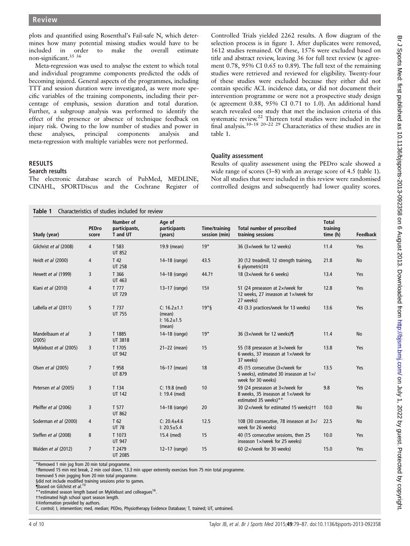plots and quantified using Rosenthal's Fail-safe N, which determines how many potential missing studies would have to be included in order to make the overall estimate non-significant.35 36

Meta-regression was used to analyse the extent to which total and individual programme components predicted the odds of becoming injured. General aspects of the programmes, including TTT and session duration were investigated, as were more specific variables of the training components, including their percentage of emphasis, session duration and total duration. Further, a subgroup analysis was performed to identify the effect of the presence or absence of technique feedback on injury risk. Owing to the low number of studies and power in these analyses, principal components analysis and meta-regression with multiple variables were not performed.

### RESULTS

#### Search results

The electronic database search of PubMed, MEDLINE, CINAHL, SPORTDiscus and the Cochrane Register of

Table 1 Characteristics of studies included for review

Controlled Trials yielded 2262 results. A flow diagram of the selection process is in figure 1. After duplicates were removed, 1612 studies remained. Of these, 1576 were excluded based on title and abstract review, leaving 36 for full text review (κ agreement 0.78, 95% CI 0.65 to 0.89). The full text of the remaining studies were retrieved and reviewed for eligibility. Twenty-four of these studies were excluded because they either did not contain specific ACL incidence data, or did not document their intervention programme or were not a prospective study design (κ agreement 0.88, 95% CI 0.71 to 1.0). An additional hand search revealed one study that met the inclusion criteria of this systematic review. $22$  Thirteen total studies were included in the final analysis.<sup>10–18</sup> <sup>20–22</sup> <sup>29</sup> Characteristics of these studies are in table 1.

### Quality assessment

Results of quality assessment using the PEDro scale showed a wide range of scores (3–8) with an average score of 4.5 (table 1). Not all studies that were included in this review were randomised controlled designs and subsequently had lower quality scores.

| Study (year)               | <b>PEDro</b><br>score | Number of<br>participants,<br>T and UT | Age of<br>participants<br>(years)                     | <b>Time/training</b><br>session (min) | <b>Total number of prescribed</b><br>training sessions                                          | <b>Total</b><br>training<br>time (h) | Feedback  |  |
|----------------------------|-----------------------|----------------------------------------|-------------------------------------------------------|---------------------------------------|-------------------------------------------------------------------------------------------------|--------------------------------------|-----------|--|
| Gilchrist et al (2008)     | 4                     | T 583<br><b>UT 852</b>                 | 19.9 (mean)                                           | $19*$                                 | 36 (3x/week for 12 weeks)                                                                       | 11.4                                 | Yes       |  |
| Heidt et al (2000)         | 4                     | T 42<br><b>UT 258</b>                  | 14-18 (range)                                         | 43.5                                  | 30 (12 treadmill, 12 strength training,<br>6 plyometric)##                                      | 21.8                                 | <b>No</b> |  |
| Hewett et al (1999)        | 3                     | T 366<br><b>UT 463</b>                 | 14-18 (range)                                         | 44.7†                                 | 18 (3×/week for 6 weeks)                                                                        | 13.4                                 | Yes       |  |
| Kiani et al (2010)         | 4                     | T 777<br><b>UT 729</b>                 | 13-17 (range)                                         | 15 <sup>‡</sup>                       | 51 (24 preseason at 2x/week for<br>12 weeks, 27 inseason at 1x/week for<br>27 weeks)            | 12.8                                 | Yes       |  |
| LaBella et al (2011)       | 5                     | T 737<br><b>UT 755</b>                 | $C: 16.2 \pm 1.1$<br>(mean)<br>$1:16.2+1.5$<br>(mean) | $19*$                                 | 43 (3.3 practices/week for 13 weeks)                                                            | 13.6                                 | Yes       |  |
| Mandelbaum et al<br>(2005) | 3                     | T 1885<br><b>UT 3818</b>               | $14-18$ (range)                                       | $19*$                                 | 36 (3x/week for 12 weeks)¶                                                                      | 11.4                                 | <b>No</b> |  |
| Myklebust et al (2005)     | 3                     | T 1705<br><b>UT 942</b>                | $21-22$ (mean)                                        | 15                                    | 55 (18 preseason at 3x/week for<br>6 weeks, 37 inseason at $1 \times$ /week for<br>37 weeks)    | 13.8                                 | Yes       |  |
| Olsen et al (2005)         | $\overline{7}$        | T 958<br><b>UT 879</b>                 | $16 - 17$ (mean)                                      | 18                                    | 45 (15 consecutive (3x/week for<br>5 weeks), estimated 30 inseason at 1x/<br>week for 30 weeks) | 13.5                                 | Yes       |  |
| Petersen et al (2005)      | 3                     | T 134<br><b>UT 142</b>                 | $C: 19.8$ (med)<br>$1: 19.4$ (med)                    | 10                                    | 59 (24 preseason at 3x/week for<br>8 weeks, 35 inseason at 1x/week for<br>estimated 35 weeks)** | 9.8                                  | Yes       |  |
| Pfeiffer et al (2006)      | 3                     | T 577<br><b>UT 862</b>                 | 14-18 (range)                                         | 20                                    | 30 (2x/week for estimated 15 weeks) tt                                                          | 10.0                                 | <b>No</b> |  |
| Soderman et al (2000)      | 4                     | T 62<br><b>UT 78</b>                   | C: $20.4 \pm 4.6$<br>$1: 20.5 + 5.4$                  | 12.5                                  | 108 (30 consecutive, 78 inseason at 3x/<br>week for 26 weeks)                                   | 22.5                                 | No        |  |
| Steffen et al (2008)       | 8                     | T 1073<br><b>UT 947</b>                | 15.4 (med)                                            | 15                                    | 40 (15 consecutive sessions, then 25<br>inseason 1x/week for 25 weeks)                          | 10.0                                 | Yes       |  |
| Walden et al (2012)        | 7                     | T 2479<br><b>UT 2085</b>               | 12-17 (range)                                         | 15                                    | 60 (2x/week for 30 weeks)                                                                       | 15.0                                 | Yes       |  |

\*Removed 1 min jog from 20 min total programme.

†Removed 15 min rest break, 2 min cool down, 13.3 min upper extremity exercises from 75 min total programme.

‡removed 5 min jogging from 20 min total programme. §did not include modified training sessions prior to games.

**¶based on Gilchrist et al.**10

\*estimated season length based on Myklebust and colleagues<sup>16</sup>.

††estimated high school sport season length.

‡‡information provided by authors.

C, control; I, intervention; med, median; PEDro, Physiotherapy Evidence Database; T, trained; UT, untrained.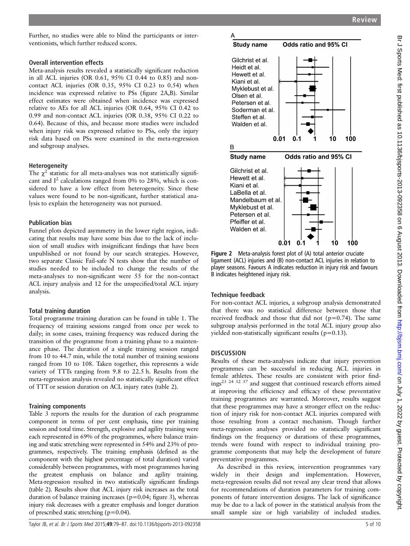Review

Further, no studies were able to blind the participants or interventionists, which further reduced scores.

#### Overall intervention effects

Meta-analysis results revealed a statistically significant reduction in all ACL injuries (OR 0.61, 95% CI 0.44 to 0.85) and noncontact ACL injuries (OR 0.35, 95% CI 0.23 to 0.54) when incidence was expressed relative to PSs (figure 2A,B). Similar effect estimates were obtained when incidence was expressed relative to AEs for all ACL injuries (OR 0.64, 95% CI 0.42 to 0.99 and non-contact ACL injuries (OR 0.38, 95% CI 0.22 to 0.64). Because of this, and because more studies were included when injury risk was expressed relative to PSs, only the injury risk data based on PSs were examined in the meta-regression and subgroup analyses.

### **Heterogeneity**

The  $\chi^2$  statistic for all meta-analyses was not statistically significant and  $I<sup>2</sup>$  calculations ranged from 0% to 28%, which is considered to have a low effect from heterogeneity. Since these values were found to be non-significant, further statistical analysis to explain the heterogeneity was not pursued.

### Publication bias

Funnel plots depicted asymmetry in the lower right region, indicating that results may have some bias due to the lack of inclusion of small studies with insignificant findings that have been unpublished or not found by our search strategies. However, two separate Classic Fail-safe N tests show that the number of studies needed to be included to change the results of the meta-analyses to non-significant were 55 for the non-contact ACL injury analysis and 12 for the unspecified/total ACL injury analysis.

# Total training duration

Total programme training duration can be found in table 1. The frequency of training sessions ranged from once per week to daily; in some cases, training frequency was reduced during the transition of the programme from a training phase to a maintenance phase. The duration of a single training session ranged from 10 to 44.7 min, while the total number of training sessions ranged from 10 to 108. Taken together, this represents a wide variety of TTTs ranging from 9.8 to 22.5 h. Results from the meta-regression analysis revealed no statistically significant effect of TTT or session duration on ACL injury rates (table 2).

#### Training components

Table 3 reports the results for the duration of each programme component in terms of per cent emphasis, time per training session and total time. Strength, explosive and agility training were each represented in 69% of the programmes, where balance training and static stretching were represented in 54% and 23% of programmes, respectively. The training emphasis (defined as the component with the highest percentage of total duration) varied considerably between programmes, with most programmes having the greatest emphasis on balance and agility training. Meta-regression resulted in two statistically significant findings (table 2). Results show that ACL injury risk increases as the total duration of balance training increases ( $p=0.04$ ; figure 3), whereas injury risk decreases with a greater emphasis and longer duration of prescribed static stretching ( $p=0.04$ ).



Figure 2 Meta-analysis forest plot of (A) total anterior cruciate ligament (ACL) injuries and (B) non-contact ACL injuries in relation to player seasons. Favours A indicates reduction in injury risk and favours B indicates heightened injury risk.

# Technique feedback

For non-contact ACL injuries, a subgroup analysis demonstrated that there was no statistical difference between those that received feedback and those that did not  $(p=0.74)$ . The same subgroup analysis performed in the total ACL injury group also yielded non-statistically significant results ( $p=0.13$ ).

# **DISCUSSION**

Results of these meta-analyses indicate that injury prevention programmes can be successful in reducing ACL injuries in female athletes. These results are consistent with prior findings23 24 32 37 and suggest that continued research efforts aimed at improving the efficiency and efficacy of these preventative training programmes are warranted. Moreover, results suggest that these programmes may have a stronger effect on the reduction of injury risk for non-contact ACL injuries compared with those resulting from a contact mechanism. Though further meta-regression analyses provided no statistically significant findings on the frequency or durations of these programmes, trends were found with respect to individual training programme components that may help the development of future preventative programmes.

As described in this review, intervention programmes vary widely in their design and implementation. However, meta-regression results did not reveal any clear trend that allows for recommendations of duration parameters for training components of future intervention designs. The lack of significance may be due to a lack of power in the statistical analysis from the small sample size or high variability of included studies.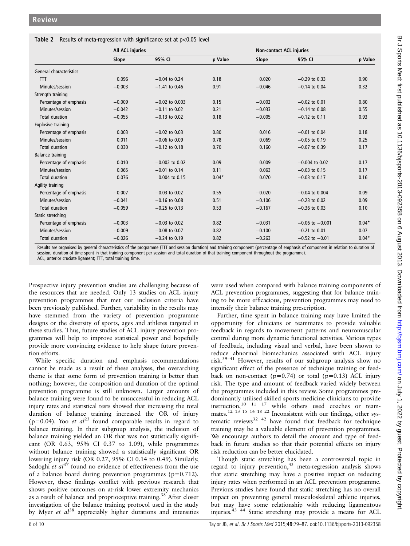### Table 2 Results of meta-regression with significance set at  $p < 0.05$  level

|                                   | <b>All ACL injuries</b> |                   |         | <b>Non-contact ACL injuries</b> |                         |         |  |  |  |
|-----------------------------------|-------------------------|-------------------|---------|---------------------------------|-------------------------|---------|--|--|--|
|                                   | Slope                   | 95% CI            | p Value | Slope                           | 95% CI                  | p Value |  |  |  |
| General characteristics           |                         |                   |         |                                 |                         |         |  |  |  |
| TTT                               | 0.096                   | $-0.04$ to 0.24   | 0.18    | 0.020                           | $-0.29$ to 0.33         | 0.90    |  |  |  |
| Minutes/session                   | $-0.003$                | $-1.41$ to 0.46   | 0.91    | $-0.046$                        | $-0.14$ to 0.04         | 0.32    |  |  |  |
| Strength training                 |                         |                   |         |                                 |                         |         |  |  |  |
| Percentage of emphasis            | $-0.009$                | $-0.02$ to 0.003  | 0.15    | $-0.002$                        | $-0.02$ to 0.01         | 0.80    |  |  |  |
| Minutes/session                   | $-0.042$                | $-0.11$ to 0.02   | 0.21    | $-0.033$                        | $-0.14$ to 0.08         | 0.55    |  |  |  |
| <b>Total duration</b>             | $-0.055$                | $-0.13$ to 0.02   | 0.18    | $-0.005$                        | $-0.12$ to 0.11         | 0.93    |  |  |  |
| Explosive training                |                         |                   |         |                                 |                         |         |  |  |  |
| Percentage of emphasis            | 0.003                   | $-0.02$ to 0.03   | 0.80    | 0.016                           | $-0.01$ to 0.04         | 0.18    |  |  |  |
| Minutes/session                   | 0.011                   | $-0.06$ to $0.09$ | 0.78    | 0.069                           | $-0.05$ to 0.19         | 0.25    |  |  |  |
| <b>Total duration</b>             | 0.030                   | $-0.12$ to 0.18   | 0.70    | 0.160                           | $-0.07$ to 0.39         | 0.17    |  |  |  |
| <b>Balance training</b>           |                         |                   |         |                                 |                         |         |  |  |  |
| Percentage of emphasis            | 0.010                   | $-0.002$ to 0.02  | 0.09    | 0.009                           | $-0.004$ to 0.02        | 0.17    |  |  |  |
| Minutes/session                   | 0.065                   | $-0.01$ to 0.14   | 0.11    | 0.063                           | $-0.03$ to 0.15         | 0.17    |  |  |  |
| <b>Total duration</b><br>0.076    |                         | 0.004 to 0.15     | $0.04*$ | 0.070                           | $-0.03$ to 0.17<br>0.16 |         |  |  |  |
| Agility training                  |                         |                   |         |                                 |                         |         |  |  |  |
| Percentage of emphasis            | $-0.007$                | $-0.03$ to 0.02   | 0.55    | $-0.020$                        | $-0.04$ to 0.004        | 0.09    |  |  |  |
| Minutes/session                   | $-0.041$                | $-0.16$ to 0.08   | 0.51    | $-0.106$                        | $-0.23$ to 0.02         | 0.09    |  |  |  |
| <b>Total duration</b><br>$-0.059$ |                         | $-0.25$ to 0.13   | 0.53    | $-0.167$                        | $-0.36$ to 0.03         | 0.10    |  |  |  |
| Static stretching                 |                         |                   |         |                                 |                         |         |  |  |  |
| Percentage of emphasis            | $-0.003$                | $-0.03$ to 0.02   | 0.82    | $-0.031$                        | $-0.06$ to $-0.001$     | $0.04*$ |  |  |  |
| Minutes/session                   | $-0.009$                | $-0.08$ to 0.07   | 0.82    | $-0.100$                        | $-0.21$ to 0.01         | 0.07    |  |  |  |
| <b>Total duration</b>             | $-0.026$                | $-0.24$ to 0.19   | 0.82    | $-0.263$                        | $-0.52$ to $-0.01$      | $0.04*$ |  |  |  |

Results are organised by general characteristics of the programme (TTT and session duration) and training component (percentage of emphasis of component in relation to duration of session, duration of time spent in that training component per session and total duration of that training component throughout the programme). ACL, anterior cruciate ligament; TTT, total training time.

Prospective injury prevention studies are challenging because of the resources that are needed. Only 13 studies on ACL injury prevention programmes that met our inclusion criteria have been previously published. Further, variability in the results may have stemmed from the variety of prevention programme designs or the diversity of sports, ages and athletes targeted in these studies. Thus, future studies of ACL injury prevention programmes will help to improve statistical power and hopefully provide more convincing evidence to help shape future prevention efforts.

While specific duration and emphasis recommendations cannot be made as a result of these analyses, the overarching theme is that some form of prevention training is better than nothing; however, the composition and duration of the optimal prevention programme is still unknown. Larger amounts of balance training were found to be unsuccessful in reducing ACL injury rates and statistical tests showed that increasing the total duration of balance training increased the OR of injury (p=0.04). Yoo *et al*<sup>23</sup> found comparable results in regard to balance training. In their subgroup analysis, the inclusion of balance training yielded an OR that was not statistically significant (OR 0.63, 95% CI 0.37 to 1.09), while programmes without balance training showed a statistically significant OR lowering injury risk (OR 0.27, 95% CI 0.14 to 0.49). Similarly, Sadoghi et  $al^{37}$  found no evidence of effectiveness from the use of a balance board during prevention programmes (p=0.712). However, these findings conflict with previous research that shows positive outcomes on at-risk lower extremity mechanics as a result of balance and proprioceptive training.38 After closer investigation of the balance training protocol used in the study by Myer et  $al^{38}$  appreciably higher durations and intensities

were used when compared with balance training components of ACL prevention programmes, suggesting that for balance training to be more efficacious, prevention programmes may need to intensify their balance training prescription.

Further, time spent in balance training may have limited the opportunity for clinicians or teammates to provide valuable feedback in regards to movement patterns and neuromuscular control during more dynamic functional activities. Various types of feedback, including visual and verbal, have been shown to reduce abnormal biomechanics associated with ACL injury risk.<sup>39–41</sup> However, results of our subgroup analysis show no significant effect of the presence of technique training or feedback on non-contact ( $p=0.74$ ) or total ( $p=0.13$ ) ACL injury risk. The type and amount of feedback varied widely between the programmes included in this review. Some programmes predominantly utilised skilled sports medicine clinicians to provide instruction,<sup>10 11 17</sup> while others used coaches or teammates.<sup>12 13 15 16 18 22</sup> Inconsistent with our findings, other systematic reviews<sup>32 42</sup> have found that feedback for technique training may be a valuable element of prevention programmes. We encourage authors to detail the amount and type of feedback in future studies so that their potential effects on injury risk reduction can be better elucidated.

Though static stretching has been a controversial topic in regard to injury prevention, $43$  meta-regression analysis shows that static stretching may have a positive impact on reducing injury rates when performed in an ACL prevention programme. Previous studies have found that static stretching has no overall impact on preventing general musculoskeletal athletic injuries, but may have some relationship with reducing ligamentous injuries.43 44 Static stretching may provide a means for ACL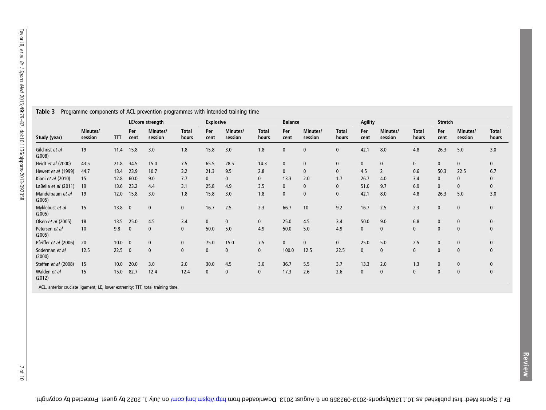| Table 3                     | Program |
|-----------------------------|---------|
|                             |         |
| Study (year)                |         |
| Gilchrist et al<br>(2008)   |         |
| Heidt et al (2000)          |         |
| Hewett et al (1999)         |         |
| Kiani <i>et al</i> (2010)   |         |
| LaBella <i>et al</i> (2011) |         |
| Mandelbaum et al<br>(2005)  |         |
| Myklebust et al             |         |

|                            | <b>Minutes/</b><br>session<br><b>TTT</b> |             | LE/core strength |                            | <b>Explosive</b>      |             | <b>Balance</b>             |                       |              | <b>Agility</b>             |                       |              | <b>Stretch</b>             |                       |              |                            |                       |
|----------------------------|------------------------------------------|-------------|------------------|----------------------------|-----------------------|-------------|----------------------------|-----------------------|--------------|----------------------------|-----------------------|--------------|----------------------------|-----------------------|--------------|----------------------------|-----------------------|
| Study (year)               |                                          |             | Per<br>cent      | <b>Minutes/</b><br>session | <b>Total</b><br>hours | Per<br>cent | <b>Minutes/</b><br>session | <b>Total</b><br>hours | Per<br>cent  | <b>Minutes/</b><br>session | <b>Total</b><br>hours | Per<br>cent  | <b>Minutes/</b><br>session | <b>Total</b><br>hours | Per<br>cent  | <b>Minutes/</b><br>session | <b>Total</b><br>hours |
| Gilchrist et al<br>(2008)  | 19                                       | 11.4        | 15.8             | 3.0                        | 1.8                   | 15.8        | 3.0                        | 1.8                   | $\mathbf{0}$ | $\mathbf{0}$               | $\mathbf{0}$          | 42.1         | 8.0                        | 4.8                   | 26.3         | 5.0                        | 3.0                   |
| Heidt et al (2000)         | 43.5                                     | 21.8        | 34.5             | 15.0                       | 7.5                   | 65.5        | 28.5                       | 14.3                  | $\mathbf{0}$ | $\bf{0}$                   | $\bf{0}$              | $\mathbf 0$  | $\mathbf 0$                | $\mathbf{0}$          | $\bf{0}$     | $\mathbf{0}$               | $\mathbf{0}$          |
| Hewett et al (1999)        | 44.7                                     | 13.4        | 23.9             | 10.7                       | 3.2                   | 21.3        | 9.5                        | 2.8                   | $\mathbf{0}$ | $\mathbf{0}$               | $\mathbf{0}$          | 4.5          | $\overline{2}$             | 0.6                   | 50.3         | 22.5                       | 6.7                   |
| Kiani et al (2010)         | 15                                       | 12.8        | 60.0             | 9.0                        | 7.7                   |             | $\mathbf{0}$               | $\mathbf{0}$          | 13.3         | 2.0                        | 1.7                   | 26.7         | 4.0                        | 3.4                   | $\mathbf{0}$ | $\mathbf{0}$               | $\mathbf{0}$          |
| LaBella et al (2011)       | 19                                       | 13.6        | 23.2             | 4.4                        | 3.1                   | 25.8        | 4.9                        | 3.5                   | $\mathbf{0}$ | $\mathbf{0}$               | $\mathbf{0}$          | 51.0         | 9.7                        | 6.9                   | 0            | $\mathbf{0}$               | $\mathbf{0}$          |
| Mandelbaum et al<br>(2005) | 19                                       | 12.0        | 15.8             | 3.0                        | 1.8                   | 15.8        | 3.0                        | 1.8                   | $\mathbf{0}$ | $\mathbf{0}$               | $\mathbf{0}$          | 42.1         | 8.0                        | 4.8                   | 26.3         | 5.0                        | 3.0                   |
| Myklebust et al<br>(2005)  | 15                                       | $13.8 \t 0$ |                  | $\mathbf 0$                | $\mathbf{0}$          | 16.7        | 2.5                        | 2.3                   | 66.7         | 10                         | 9.2                   | 16.7         | 2.5                        | 2.3                   | $\bf{0}$     | $\mathbf 0$                | $\bf{0}$              |
| Olsen et al (2005)         | 18                                       | 13.5        | 25.0             | 4.5                        | 3.4                   | 0           | $\mathbf 0$                | $\mathbf{0}$          | 25.0         | 4.5                        | 3.4                   | 50.0         | 9.0                        | 6.8                   | $\mathbf{0}$ | $\mathbf{0}$               |                       |
| Petersen et al<br>(2005)   | 10                                       | 9.8         | $\mathbf{0}$     | 0                          | $\mathbf{0}$          | 50.0        | 5.0                        | 4.9                   | 50.0         | 5.0                        | 4.9                   | $\mathbf{0}$ | $\mathbf{0}$               | $\mathbf{0}$          | $\mathbf{0}$ | $\mathbf{0}$               | $\mathbf{0}$          |
| Pfeiffer et al (2006)      | 20                                       | $10.0 \t 0$ |                  | 0                          | $\mathbf{0}$          | 75.0        | 15.0                       | 7.5                   | $\mathbf{0}$ | $\mathbf 0$                | $\mathbf{0}$          | 25.0         | 5.0                        | 2.5                   | $\mathbf{0}$ | $\mathbf 0$                |                       |
| Soderman et al<br>(2000)   | 12.5                                     | $22.5\ 0$   |                  | $\mathbf{0}$               | $\mathbf{0}$          |             | $\mathbf{0}$               | $\mathbf{0}$          | 100.0        | 12.5                       | 22.5                  | $\mathbf{0}$ | $\bf{0}$                   | $\mathbf{0}$          | $\mathbf{0}$ | $\mathbf 0$                | $\mathbf{0}$          |
| Steffen et al (2008)       | 15                                       | 10.0        | 20.0             | 3.0                        | 2.0                   | 30.0        | 4.5                        | 3.0                   | 36.7         | 5.5                        | 3.7                   | 13.3         | 2.0                        | 1.3                   | $\mathbf{0}$ | $\mathbf{0}$               |                       |
| Walden et al<br>(2012)     | 15                                       | 15.0        | 82.7             | 12.4                       | 12.4                  | 0           | $\mathbf{0}$               | $\mathbf{0}$          | 17.3         | 2.6                        | 2.6                   | $\mathbf{0}$ | $\mathbf{0}$               | $\mathbf{0}$          | $\mathbf{0}$ | $\mathbf{0}$               | $\mathbf{0}$          |

#### nme components of ACL prevention programmes with intended training time

ACL, anterior cruciate ligament; LE, lower extremity; TTT, total training time.

7 of 10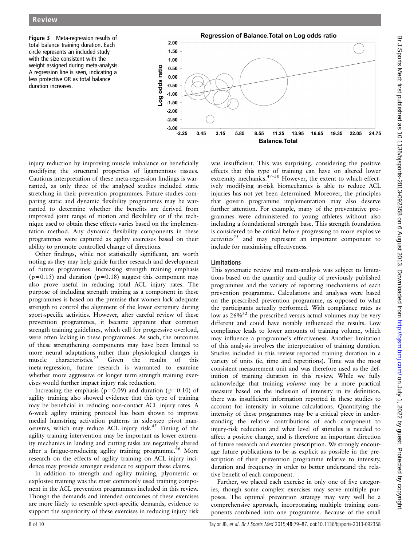Figure 3 Meta-regression results of total balance training duration. Each circle represents an included study with the size consistent with the weight assigned during meta-analysis. A regression line is seen, indicating a less protective OR as total balance duration increases.



injury reduction by improving muscle imbalance or beneficially modifying the structural properties of ligamentous tissues. Cautious interpretation of these meta-regression findings is warranted, as only three of the analysed studies included static stretching in their prevention programmes. Future studies comparing static and dynamic flexibility programmes may be warranted to determine whether the benefits are derived from improved joint range of motion and flexibility or if the technique used to obtain these effects varies based on the implementation method. Any dynamic flexibility components in these programmes were captured as agility exercises based on their ability to promote controlled change of directions.

Other findings, while not statistically significant, are worth noting as they may help guide further research and development of future programmes. Increasing strength training emphasis  $(p=0.15)$  and duration  $(p=0.18)$  suggest this component may also prove useful in reducing total ACL injury rates. The purpose of including strength training as a component in these programmes is based on the premise that women lack adequate strength to control the alignment of the lower extremity during sport-specific activities. However, after careful review of these prevention programmes, it became apparent that common strength training guidelines, which call for progressive overload, were often lacking in these programmes. As such, the outcomes of these strengthening components may have been limited to more neural adaptations rather than physiological changes in muscle characteristics.<sup>25</sup> Given the results of this meta-regression, future research is warranted to examine whether more aggressive or longer term strength training exercises would further impact injury risk reduction.

Increasing the emphasis ( $p=0.09$ ) and duration ( $p=0.10$ ) of agility training also showed evidence that this type of training may be beneficial in reducing non-contact ACL injury rates. A 6-week agility training protocol has been shown to improve medial hamstring activation patterns in side-step pivot manoeuvres, which may reduce ACL injury risk.<sup>45</sup> Timing of the agility training intervention may be important as lower extremity mechanics in landing and cutting tasks are negatively altered after a fatigue-producing agility training programme.<sup>46</sup> More research on the effects of agility training on ACL injury incidence may provide stronger evidence to support these claims.

In addition to strength and agility training, plyometric or explosive training was the most commonly used training component in the ACL prevention programmes included in this review. Though the demands and intended outcomes of these exercises are more likely to resemble sport-specific demands, evidence to support the superiority of these exercises in reducing injury risk

was insufficient. This was surprising, considering the positive effects that this type of training can have on altered lower extremity mechanics. $47-50$  However, the extent to which effectively modifying at-risk biomechanics is able to reduce ACL injuries has not yet been determined. Moreover, the principles that govern programme implementation may also deserve further attention. For example, many of the preventative programmes were administered to young athletes without also including a foundational strength base. This strength foundation is considered to be critical before progressing to more explosive activities<sup>25</sup> and may represent an important component to include for maximising effectiveness.

# Limitations

This systematic review and meta-analysis was subject to limitations based on the quantity and quality of previously published programmes and the variety of reporting mechanisms of each prevention programme. Calculations and analyses were based on the prescribed prevention programme, as opposed to what the participants actually performed. With compliance rates as low as  $26\%^{32}$  the prescribed versus actual volumes may be very different and could have notably influenced the results. Low compliance leads to lower amounts of training volume, which may influence a programme's effectiveness. Another limitation of this analysis involves the interpretation of training duration. Studies included in this review reported training duration in a variety of units (ie, time and repetitions). Time was the most consistent measurement unit and was therefore used as the definition of training duration in this review. While we fully acknowledge that training volume may be a more practical measure based on the inclusion of intensity in its definition, there was insufficient information reported in these studies to account for intensity in volume calculations. Quantifying the intensity of these programmes may be a critical piece in understanding the relative contributions of each component to injury-risk reduction and what level of stimulus is needed to affect a positive change, and is therefore an important direction of future research and exercise prescription. We strongly encourage future publications to be as explicit as possible in the prescription of their prevention programme relative to intensity, duration and frequency in order to better understand the relative benefit of each component.

Further, we placed each exercise in only one of five categories, though some complex exercises may serve multiple purposes. The optimal prevention strategy may very well be a comprehensive approach, incorporating multiple training components combined into one programme. Because of the small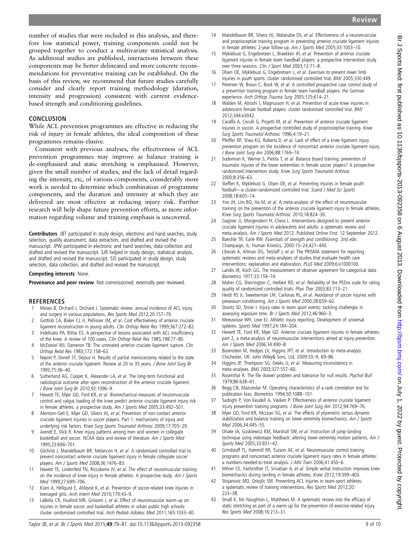number of studies that were included in this analysis, and therefore low statistical power, training components could not be grouped together to conduct a multivariate statistical analysis. As additional studies are published, interactions between these components may be better delineated and more concrete recommendations for preventative training can be established. On the basis of this review, we recommend that future studies carefully consider and clearly report training methodology (duration, intensity and progression) consistent with current evidencebased strength and conditioning guidelines.

#### **CONCLUSION**

While ACL prevention programmes are effective in reducing the risk of injury in female athletes, the ideal composition of these programmes remains elusive.

Consistent with previous analyses, the effectiveness of ACL prevention programmes may improve as balance training is de-emphasised and static stretching is emphasised. However, given the small number of studies, and the lack of detail regarding the intensity, etc, of various components, considerably more work is needed to determine which combination of programme components, and the duration and intensity at which they are delivered are most effective at reducing injury risk. Further research will help shape future prevention efforts, as more information regarding volume and training emphasis is uncovered.

Contributors JBT participated in study design, electronic and hand searches, study selection, quality assessment, data extraction, and drafted and revised the manuscript. JPW participated in electronic and hand searches, data collection and drafted and revised the manuscript. SJR helped in study design, statistical analysis, and drafted and revised the manuscript. SJS participated in study design, study selection, data collection, and drafted and revised the manuscript.

#### Competing interests None.

Provenance and peer review Not commissioned; externally peer reviewed.

#### REFERENCES

- 1 Moses B, Orchard J, Orchard J. Systematic review: annual incidence of ACL injury and surgery in various populations. Res Sports Med 2012;20:157–79.
- 2 Gottlob CA, Baker CL Jr, Pellissier JM, et al. Cost effectiveness of anterior cruciate ligament reconstruction in young adults. Clin Orthop Relat Res 1999;367:272–82.
- 3 Indelicato PA, Bittar ES. A perspective of lesions associated with ACL insufficiency of the knee. A review of 100 cases. Clin Orthop Relat Res 1985;198:77–80.
- 4 McDaniel WJ, Dameron TB. The untreated anterior cruciate ligament rupture. Clin Orthop Relat Res 1983;172:158–63.
- 5 Neyret P, Donell ST, Dejour H. Results of partial meniscectomy related to the state of the anterior cruciate ligament. Review at 20 to 35 years. J Bone Joint Surg Br 1993;75:36–40.
- 6 Sutherland AG, Cooper K, Alexander LA, et al. The long-term functional and radiological outcome after open reconstruction of the anterior cruciate ligament. J Bone Joint Surg Br 2010;92:1096–9.
- 7 Hewett TE, Myer GD, Ford KR, et al. Biomechanical measures of neuromuscular control and valgus loading of the knee predict anterior cruciate ligament injury risk in female athletes: a prospective study. Am J Sports Med 2005;33:492-501.
- 8 Alentorn-Geli E, Myer GD, Silvers HJ, et al. Prevention of non-contact anterior cruciate ligament injuries in soccer players. Part 1: mechanisms of injury and underlying risk factors. Knee Surg Sports Traumatol Arthrosc 2009;17:705–29.
- 9 Arendt E, Dick R. Knee injury patterns among men and women in collegiate basketball and soccer. NCAA data and review of literature. Am J Sports Med 1995;23:694–701.
- 10 Gilchrist J, Mandelbaum BR, Melancon H, et al. A randomized controlled trial to prevent noncontact anterior cruciate ligament injury in female collegiate soccer players. Am J Sports Med 2008;36:1476–83.
- 11 Hewett TE, Lindenfeld TN, Riccobene JV, et al. The effect of neuromuscular training on the incidence of knee injury in female athletes. A prospective study. Am J Sports Med 1999;27:699–706.
- 12 Kiani A, Hellquist E, Ahlqvist K, et al. Prevention of soccer-related knee injuries in teenaged girls. Arch Intern Med 2010;170:43–9.
- 13 LaBella CR, Huxford MR, Grissom J, et al. Effect of neuromuscular warm-up on injuries in female soccer and basketball athletes in urban public high schools: cluster randomized controlled trial. Arch Pediatr Adolesc Med 2011;165:1033–40.
- 14 Mandelbaum BR, Silvers HJ, Watanabe DS, et al. Effectiveness of a neuromuscular and proprioceptive training program in preventing anterior cruciate ligament injuries in female athletes: 2-year follow-up. Am J Sports Med 2005;33:1003–10.
- 15 Myklebust G, Engebretsen L, Braekken IH, et al. Prevention of anterior cruciate ligament injuries in female team handball players: a prospective intervention study over three seasons. Clin J Sport Med 2003;13:71-8.
- 16 Olsen OE, Myklebust G, Engebretsen L, et al. Exercises to prevent lower limb injuries in youth sports: cluster randomised controlled trial. BMJ 2005;330:449.
- 17 Petersen W, Braun C, Bock W, et al. A controlled prospective case control study of a prevention training program in female team handball players: the German experience. Arch Orthop Trauma Surg 2005;125:614–21.
- 18 Walden M, Atroshi I, Magnusson H, et al. Prevention of acute knee injuries in adolescent female football players: cluster randomised controlled trial. BMJ 2012;344:e3042.
- 19 Caraffa A, Cerulli G, Projetti M, et al. Prevention of anterior cruciate ligament injuries in soccer. A prospective controlled study of proprioceptive training. Knee Surg Sports Traumatol Arthrosc 1996;4:19–21.
- 20 Pfeiffer RP, Shea KG, Roberts D, et al. Lack of effect of a knee ligament injury prevention program on the incidence of noncontact anterior cruciate ligament injury. J Bone Joint Surg Am 2006;88:1769–74.
- 21 Soderman K, Werner S, Pietila T, et al. Balance board training: prevention of traumatic injuries of the lower extremities in female soccer players? A prospective randomized intervention study. Knee Surg Sports Traumatol Arthrosc 2000;8:356–63.
- 22 Steffen K, Myklebust G, Olsen OE, et al. Preventing injuries in female youth football—a cluster-randomized controlled trial. Scand J Med Sci Sports 2008;18:605–14.
- 23 Yoo JH, Lim BO, Ha M, et al. A meta-analysis of the effect of neuromuscular training on the prevention of the anterior cruciate ligament injury in female athletes. Knee Surg Sports Traumatol Arthrosc 2010;18:824–30.
- 24 Gagnier JJ, Morgenstern H, Chess L. Interventions designed to prevent anterior cruciate ligament injuries in adolescents and adults: a systematic review and meta-analysis. Am J Sports Med 2012. Published Online First: 12 September 2012.
- 25 Baechle TR, Earle RW. Essentials of strength and conditioning. 2nd edn. Champaign, IL: Human Kinetics, 2000:15–24,427–440.
- 26 Liberati A, Altman DG, Tetzlaff J, et al. The PRISMA statement for reporting systematic reviews and meta-analyses of studies that evaluate health care interventions: explanation and elaboration. PLoS Med 2009;6:e1000100.
- 27 Landis JR, Koch GG. The measurement of observer agreement for categorical data. Biometrics 1977;33:159–74.
- 28 Maher CG, Sherrington C, Herbert RD, et al. Reliability of the PEDro scale for rating quality of randomized controlled trials. Phys Ther 2003;83:713–21.
- 29 Heidt RS Jr, Sweeterman LM, Carlonas RL, et al. Avoidance of soccer injuries with preseason conditioning. Am J Sports Med 2000;28:659–62.
- 30 Stovitz SD, Shrier I. Injury rates in team sport events: tackling challenges in assessing exposure time. Br J Sports Med 2012;46:960–3.
- 31 Meeuwisse WH, Love EJ. Athletic injury reporting. Development of universal systems. Sports Med 1997;24:184–204.
- 32 Hewett TE, Ford KR, Myer GD. Anterior cruciate ligament injuries in female athletes: part 2, a meta-analysis of neuromuscular interventions aimed at injury prevention. Am J Sports Med 2006;34:490–8.
- 33 Borenstein M, Hedges LV, Higgins JPT, et al. Introduction to meta-analysis. Chichester, UK: John Wiley& Sons, Ltd, 2009:33–9, 69–86.
- 34 Higgins JP, Thompson SG, Deeks JJ, et al. Measuring inconsistency in meta-analyses. BMJ 2003;327:557–60.
- 35 Rosenthal R. The file drawer problem and tolerance for null results. Psychol Bull 1979;86:638–41.
- 36 Begg CB, Mazumdar M. Operating characteristics of a rank correlation test for publication bias. Biometrics 1994;50:1088–101.
- 37 Sadoghi P, Von Keudell A, Vavken P. Effectiveness of anterior cruciate ligament injury prevention training programs. J Bone Joint Surg Am 2012;94:769–76.
- 38 Myer GD, Ford KR, McLean SG, et al. The effects of plyometric versus dynamic stabilization and balance training on lower extremity biomechanics. Am J Sports Med 2006;34:445–55.
- 39 Onate JA, Guskiewicz KM, Marshall SW, et al. Instruction of jump-landing technique using videotape feedback: altering lower extremity motion patterns. Am J Sports Med 2005;33:831–42.
- 40 Grindstaff TL, Hammill RR, Tuzson AE, et al. Neuromuscular control training programs and noncontact anterior cruciate ligament injury rates in female athletes: a numbers-needed-to-treat analysis. J Athl Train 2006;41:450–6.
- 41 Milner CE, Fairbrother JT, Srivatsan A, et al. Simple verbal instruction improves knee biomechanics during landing in female athletes. Knee 2012;19:399–403.
- 42 Stojanovic MD, Ostojlic SM. Preventing ACL injuries in team-sport athletes: a systematic review of training interventions. Res Sports Med 2012;20: 223–38.
- 43 Small K, Mc Naughton L, Matthews M. A systematic review into the efficacy of static stretching as part of a warm-up for the prevention of exercise-related injury. Res Sports Med 2008;16:213–31.